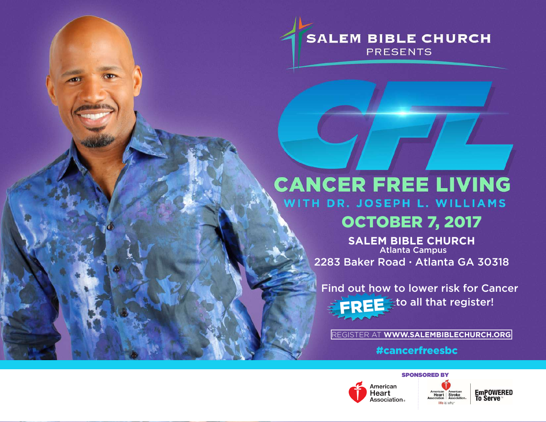**SALEM BIBLE CHURCH PRESENTS** 

# **CANCER FREE LIVING** WITH DR. JOSEPH L. WILLIAMS

### OCTOBER 7, 2017

**SALEM BIBLE CHURCH** Atlanta Campus 2283 Baker Road · Atlanta GA 30318

Find out how to lower risk for Cancer **FREE** Eto all that register!

REGISTER AT **WWW.SALEMBIBLECHURCH.ORG**

#cancerfreesbc



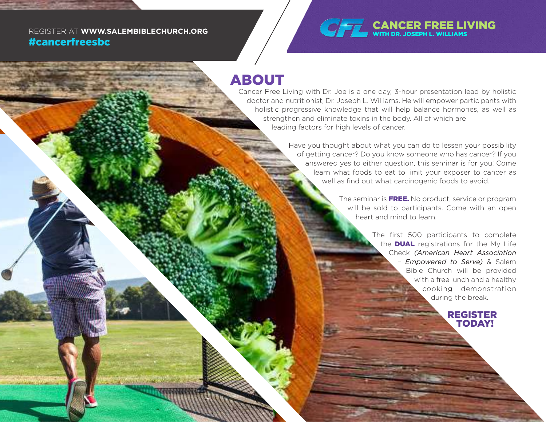# #cancerfreesbc



#### ABOUT

Cancer Free Living with Dr. Joe is a one day, 3-hour presentation lead by holistic doctor and nutritionist, Dr. Joseph L. Williams. He will empower participants with holistic progressive knowledge that will help balance hormones, as well as strengthen and eliminate toxins in the body. All of which are leading factors for high levels of cancer.

> Have you thought about what you can do to lessen your possibility of getting cancer? Do you know someone who has cancer? If you answered yes to either question, this seminar is for you! Come learn what foods to eat to limit your exposer to cancer as well as find out what carcinogenic foods to avoid.

> > The seminar is **FREE.** No product, service or program will be sold to participants. Come with an open heart and mind to learn.

> > > The first 500 participants to complete the **DUAL** registrations for the My Life Check *(American Heart Association – Empowered to Serve)* & Salem Bible Church will be provided with a free lunch and a healthy cooking demonstration during the break.

> > > > REGISTER TODAY!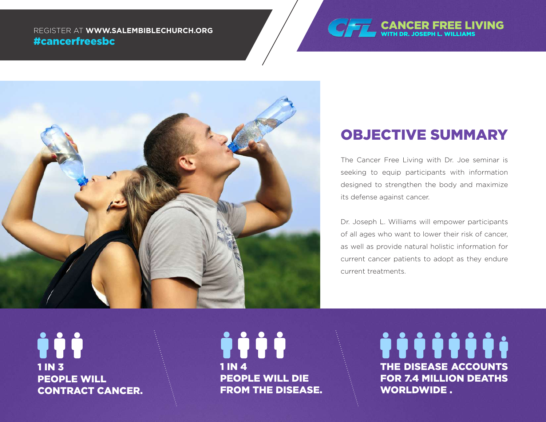REGISTER AT **WWW.SALEMBIBLECHURCH.ORG**<br>The Milliams Research of the Milliams Research of the Milliams Research of the Milliams Research of the Milliams #cancerfreesbc





### OBJECTIVE SUMMARY

The Cancer Free Living with Dr. Joe seminar is seeking to equip participants with information designed to strengthen the body and maximize its defense against cancer.

Dr. Joseph L. Williams will empower participants of all ages who want to lower their risk of cancer, as well as provide natural holistic information for current cancer patients to adopt as they endure current treatments.

Ìİİ 1 IN 3 PEOPLE WILL CONTRACT CANCER.

jiji 1 IN 4 PEOPLE WILL DIE FROM THE DISEASE. *<u><u> iiiiiii</u>*</u> THE DISEASE ACCOUNTS FOR 7.4 MILLION DEATHS WORLDWIDE .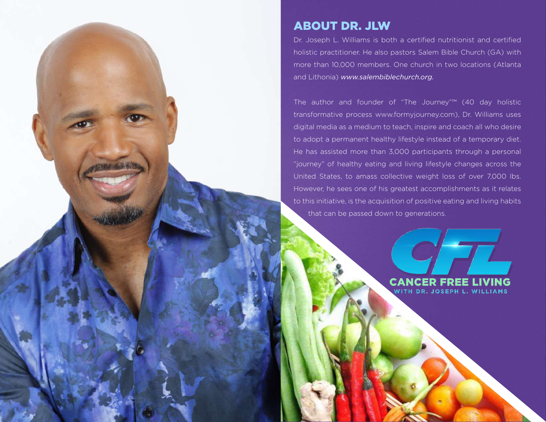

Dr. Joseph L. Williams is both a certified nutritionist and certified holistic practitioner. He also pastors Salem Bible Church (GA) with more than 10,000 members. One church in two locations (Atlanta and Lithonia) *www.salembiblechurch.org.*

The author and founder of "The Journey"™ (40 day holistic transformative process www.formyjourney.com), Dr. Williams uses digital media as a medium to teach, inspire and coach all who desire to adopt a permanent healthy lifestyle instead of a temporary diet. He has assisted more than 3,000 participants through a personal "journey" of healthy eating and living lifestyle changes across the United States, to amass collective weight loss of over 7,000 lbs. However, he sees one of his greatest accomplishments as it relates to this initiative, is the acquisition of positive eating and living habits that can be passed down to generations.

TH DR. JOSEPH L. WILLIAMS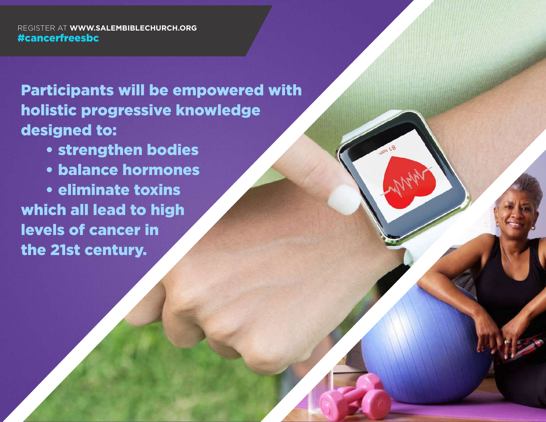REGISTER AT **WWW.SALEMBIBLECHURCH.ORG** #cancerfreesbc

Participants will be empowered with holistic progressive knowledge designed to:

• strengthen bodies

• balance hormones eliminate toxins **W** lead to high **acer in** 

the 21st century. The 21st century.